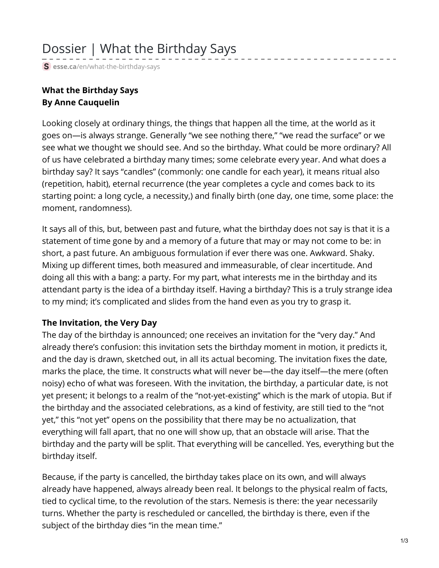# Dossier | What the Birthday Says

**S** esse.ca[/en/what-the-birthday-says](https://esse.ca/en/what-the-birthday-says)

## **What the Birthday Says By Anne Cauquelin**

Looking closely at ordinary things, the things that happen all the time, at the world as it goes on—is always strange. Generally "we see nothing there," "we read the surface" or we see what we thought we should see. And so the birthday. What could be more ordinary? All of us have celebrated a birthday many times; some celebrate every year. And what does a birthday say? It says "candles" (commonly: one candle for each year), it means ritual also (repetition, habit), eternal recurrence (the year completes a cycle and comes back to its starting point: a long cycle, a necessity,) and finally birth (one day, one time, some place: the moment, randomness).

It says all of this, but, between past and future, what the birthday does not say is that it is a statement of time gone by and a memory of a future that may or may not come to be: in short, a past future. An ambiguous formulation if ever there was one. Awkward. Shaky. Mixing up different times, both measured and immeasurable, of clear incertitude. And doing all this with a bang: a party. For my part, what interests me in the birthday and its attendant party is the idea of a birthday itself. Having a birthday? This is a truly strange idea to my mind; it's complicated and slides from the hand even as you try to grasp it.

#### **The Invitation, the Very Day**

The day of the birthday is announced; one receives an invitation for the "very day." And already there's confusion: this invitation sets the birthday moment in motion, it predicts it, and the day is drawn, sketched out, in all its actual becoming. The invitation fixes the date, marks the place, the time. It constructs what will never be—the day itself—the mere (often noisy) echo of what was foreseen. With the invitation, the birthday, a particular date, is not yet present; it belongs to a realm of the "not-yet-existing" which is the mark of utopia. But if the birthday and the associated celebrations, as a kind of festivity, are still tied to the "not yet," this "not yet" opens on the possibility that there may be no actualization, that everything will fall apart, that no one will show up, that an obstacle will arise. That the birthday and the party will be split. That everything will be cancelled. Yes, everything but the birthday itself.

Because, if the party is cancelled, the birthday takes place on its own, and will always already have happened, always already been real. It belongs to the physical realm of facts, tied to cyclical time, to the revolution of the stars. Nemesis is there: the year necessarily turns. Whether the party is rescheduled or cancelled, the birthday is there, even if the subject of the birthday dies "in the mean time."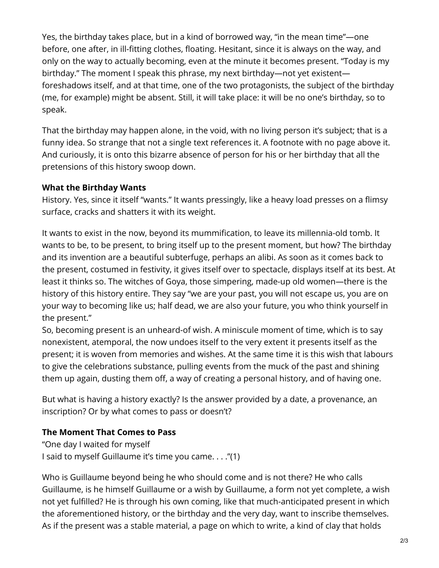Yes, the birthday takes place, but in a kind of borrowed way, "in the mean time"—one before, one after, in ill-fitting clothes, floating. Hesitant, since it is always on the way, and only on the way to actually becoming, even at the minute it becomes present. "Today is my birthday." The moment I speak this phrase, my next birthday—not yet existent foreshadows itself, and at that time, one of the two protagonists, the subject of the birthday (me, for example) might be absent. Still, it will take place: it will be no one's birthday, so to speak.

That the birthday may happen alone, in the void, with no living person it's subject; that is a funny idea. So strange that not a single text references it. A footnote with no page above it. And curiously, it is onto this bizarre absence of person for his or her birthday that all the pretensions of this history swoop down.

#### **What the Birthday Wants**

History. Yes, since it itself "wants." It wants pressingly, like a heavy load presses on a flimsy surface, cracks and shatters it with its weight.

It wants to exist in the now, beyond its mummification, to leave its millennia-old tomb. It wants to be, to be present, to bring itself up to the present moment, but how? The birthday and its invention are a beautiful subterfuge, perhaps an alibi. As soon as it comes back to the present, costumed in festivity, it gives itself over to spectacle, displays itself at its best. At least it thinks so. The witches of Goya, those simpering, made-up old women—there is the history of this history entire. They say "we are your past, you will not escape us, you are on your way to becoming like us; half dead, we are also your future, you who think yourself in the present."

So, becoming present is an unheard-of wish. A miniscule moment of time, which is to say nonexistent, atemporal, the now undoes itself to the very extent it presents itself as the present; it is woven from memories and wishes. At the same time it is this wish that labours to give the celebrations substance, pulling events from the muck of the past and shining them up again, dusting them off, a way of creating a personal history, and of having one.

But what is having a history exactly? Is the answer provided by a date, a provenance, an inscription? Or by what comes to pass or doesn't?

### **The Moment That Comes to Pass**

"One day I waited for myself I said to myself Guillaume it's time you came. . . ."(1)

Who is Guillaume beyond being he who should come and is not there? He who calls Guillaume, is he himself Guillaume or a wish by Guillaume, a form not yet complete, a wish not yet fulfilled? He is through his own coming, like that much-anticipated present in which the aforementioned history, or the birthday and the very day, want to inscribe themselves. As if the present was a stable material, a page on which to write, a kind of clay that holds